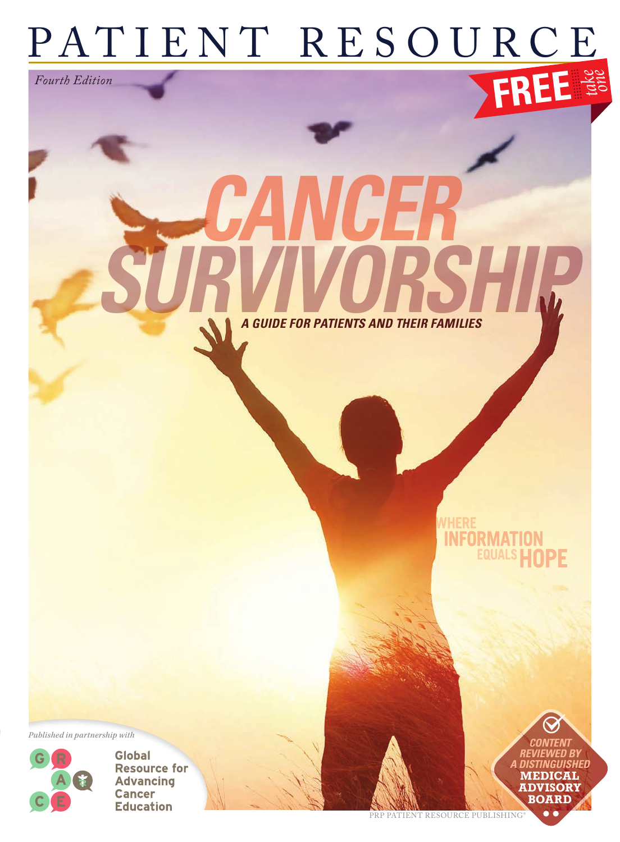## PATIENT RESOURCE **FREE** *take one Fourth Edition*

*GUIDE FOR PATIENTS AND THEIR FAMILIES* 

SURVIVORSHIP

*CANCER*

*Published in partnership with*



**Global Resource for Advancing Cancer Education** 

PRP PATIENT RESOURCE PUBLISHING

*CONTENT REVIEWED BY A DISTINGUISHED* **MEDICAL ADVISORY BOARD**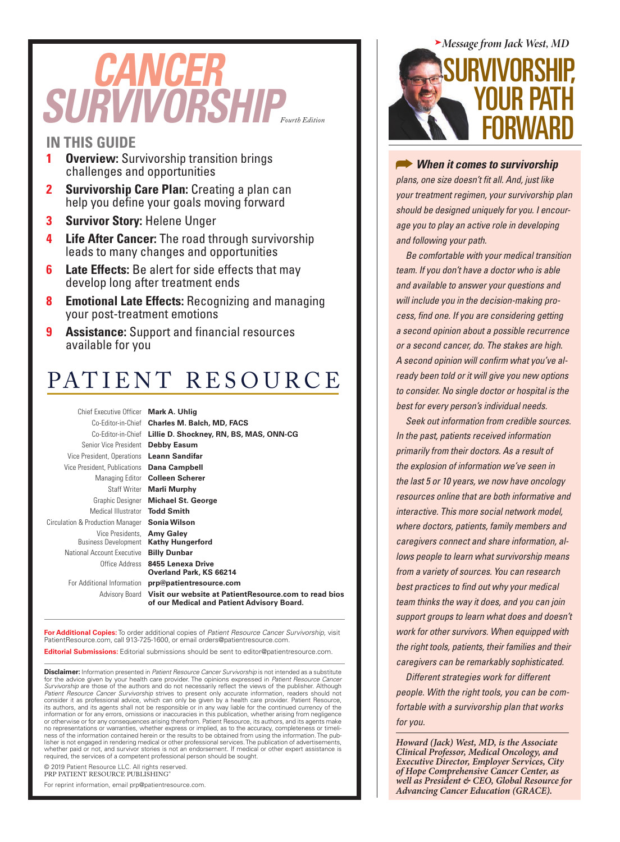# *Fourth Edition SURVIVORSHIP CANCER*

#### **IN THIS GUIDE**

- **1 Overview:** Survivorship transition brings challenges and opportunities
- **2 Survivorship Care Plan:** Creating a plan can help you define your goals moving forward
- **3 Survivor Story:** Helene Unger
- **4 Life After Cancer:** The road through survivorship leads to many changes and opportunities
- **6 Late Effects:** Be alert for side effects that may develop long after treatment ends
- **8 Emotional Late Effects:** Recognizing and managing your post-treatment emotions
- **9 Assistance:** Support and financial resources available for you

### PATIENT RESOURCE

Chief Executive Officer **Mark A. Uhlig** Senior Vice President **Debby Easum** Vice President, Operations **Leann Sandifar** Vice President, Publications **Dana Campbell** Medical Illustrator **Todd Smith** Circulation & Production Manager **Sonia Wilson** Vice Presidents, **Amy Galey** Business Development **Kathy Hungerford** National Account Executive **Billy Dunbar**

Co-Editor-in-Chief **Charles M. Balch, MD, FACS** Co-Editor-in-Chief **Lillie D. Shockney, RN, BS, MAS, ONN-CG** Managing Editor **Colleen Scherer** Staff Writer **Marli Murphy** Graphic Designer **Michael St. George** Office Address **8455 Lenexa Drive Overland Park, KS 66214** For Additional Information **prp@patientresource.com** Advisory Board **Visit our website at PatientResource.com to read bios** 

**of our Medical and Patient Advisory Board.**

**For Additional Copies:** To order additional copies of *Patient Resource Cancer Survivorship,* visit PatientResource.com, call 913-725-1600, or email orders@patientresource.com.

**Editorial Submissions:** Editorial submissions should be sent to editor@patientresource.com.

**Disclaimer:** Information presented in *Patient Resource Cancer Survivorship* is not intended as a substitute<br>for the advice given by your health care provider. The opinions expressed in *Patient Resource Cancer*<br>*Survivor Patient Resource Cancer Survivorship* strives to present only accurate information, readers should not consider it as professional advice, which can only be given by a health care provider. Patient Resource, its authors, and its agents shall not be responsible or in any way liable for the continued currency of the information or for any errors, omissions or inaccuracies in this publication, whether arising from negligence or otherwise or for any consequences arising therefrom. Patient Resource, its authors, and its agents make no representations or warranties, whether express or implied, as to the accuracy, completeness or timeliness of the information contained herein or the results to be obtained from using the information. The pub-<br>lisher is not engaged in rendering medical or other professional services. The publication of advertisements,<br>whet required, the services of a competent professional person should be sought.

© 2019 Patient Resource LLC. All rights reserved. PRP PATIENT RESOURCE PUBLISHING®

For reprint information, email prp@patientresource.com.



*When it comes to survivorship plans, one size doesn't fit all. And, just like your treatment regimen, your survivorship plan should be designed uniquely for you. I encourage you to play an active role in developing and following your path.* 

*Be comfortable with your medical transition team. If you don't have a doctor who is able and available to answer your questions and will include you in the decision-making process, find one. If you are considering getting a second opinion about a possible recurrence or a second cancer, do. The stakes are high. A second opinion will confirm what you've already been told or it will give you new options to consider. No single doctor or hospital is the best for every person's individual needs.* 

*Seek out information from credible sources. In the past, patients received information primarily from their doctors. As a result of the explosion of information we've seen in the last 5 or 10 years, we now have oncology resources online that are both informative and interactive. This more social network model, where doctors, patients, family members and caregivers connect and share information, allows people to learn what survivorship means from a variety of sources. You can research best practices to find out why your medical team thinks the way it does, and you can join support groups to learn what does and doesn't work for other survivors. When equipped with the right tools, patients, their families and their caregivers can be remarkably sophisticated.* 

*Different strategies work for different people. With the right tools, you can be comfortable with a survivorship plan that works for you.* 

*Howard (Jack) West, MD, is the Associate Clinical Professor, Medical Oncology, and Executive Director, Employer Services, City of Hope Comprehensive Cancer Center, as well as President & CEO, Global Resource for Advancing Cancer Education (GRACE).*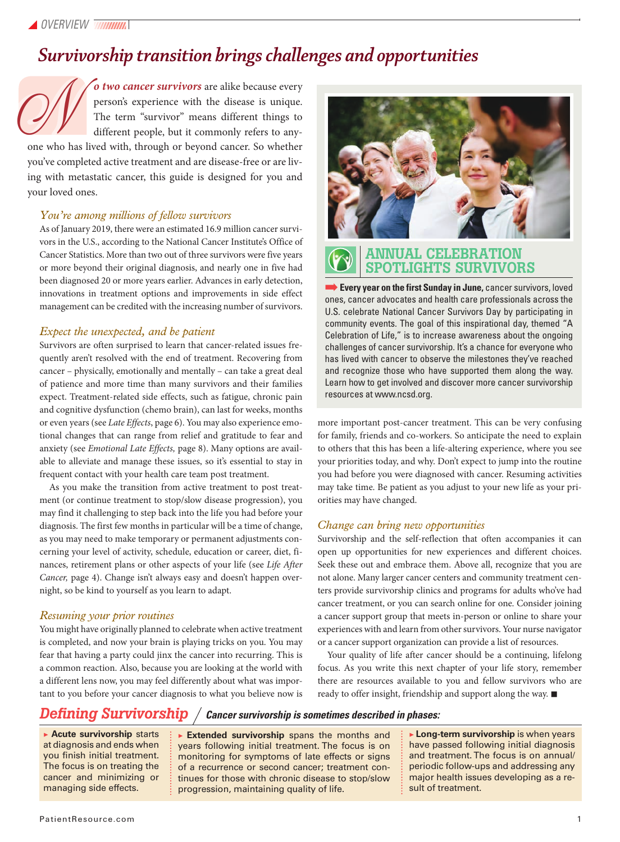### *Survivorship transition brings challenges and opportunities*

*o two cancer survivors* are alike because every person's experience with the disease is unique. The term "survivor" means different things to different people, but it commonly refers to anyone who has lived with, through or beyond cancer. So whether

you've completed active treatment and are disease-free or are living with metastatic cancer, this guide is designed for you and your loved ones.  $\mathcal{O}(\sqrt{\frac{1}{\pi}})$ 

#### *You're among millions of fellow survivors*

As of January 2019, there were an estimated 16.9 million cancer survivors in the U.S., according to the National Cancer Institute's Office of Cancer Statistics. More than two out of three survivors were five years or more beyond their original diagnosis, and nearly one in five had been diagnosed 20 or more years earlier. Advances in early detection, innovations in treatment options and improvements in side effect management can be credited with the increasing number of survivors.

#### *Expect the unexpected, and be patient*

Survivors are often surprised to learn that cancer-related issues frequently aren't resolved with the end of treatment. Recovering from cancer – physically, emotionally and mentally – can take a great deal of patience and more time than many survivors and their families expect. Treatment-related side effects, such as fatigue, chronic pain and cognitive dysfunction (chemo brain), can last for weeks, months or even years (see *Late Effects*, page 6). You may also experience emotional changes that can range from relief and gratitude to fear and anxiety (see *Emotional Late Effects,* page 8). Many options are available to alleviate and manage these issues, so it's essential to stay in frequent contact with your health care team post treatment.

As you make the transition from active treatment to post treatment (or continue treatment to stop/slow disease progression), you may find it challenging to step back into the life you had before your diagnosis. The first few months in particular will be a time of change, as you may need to make temporary or permanent adjustments concerning your level of activity, schedule, education or career, diet, finances, retirement plans or other aspects of your life (see *Life After Cancer,* page 4). Change isn't always easy and doesn't happen overnight, so be kind to yourself as you learn to adapt.

#### *Resuming your prior routines*

You might have originally planned to celebrate when active treatment is completed, and now your brain is playing tricks on you. You may fear that having a party could jinx the cancer into recurring. This is a common reaction. Also, because you are looking at the world with a different lens now, you may feel differently about what was important to you before your cancer diagnosis to what you believe now is



#### ANNUAL CELEBRATION SPOTLIGHTS SURVIVORS

**Every year on the first Sunday in June, cancer survivors, loved** ones, cancer advocates and health care professionals across the U.S. celebrate National Cancer Survivors Day by participating in community events. The goal of this inspirational day, themed "A Celebration of Life," is to increase awareness about the ongoing challenges of cancer survivorship. It's a chance for everyone who has lived with cancer to observe the milestones they've reached and recognize those who have supported them along the way. Learn how to get involved and discover more cancer survivorship resources at www.ncsd.org.

more important post-cancer treatment. This can be very confusing for family, friends and co-workers. So anticipate the need to explain to others that this has been a life-altering experience, where you see your priorities today, and why. Don't expect to jump into the routine you had before you were diagnosed with cancer. Resuming activities may take time. Be patient as you adjust to your new life as your priorities may have changed.

#### *Change can bring new opportunities*

Survivorship and the self-reflection that often accompanies it can open up opportunities for new experiences and different choices. Seek these out and embrace them. Above all, recognize that you are not alone. Many larger cancer centers and community treatment centers provide survivorship clinics and programs for adults who've had cancer treatment, or you can search online for one. Consider joining a cancer support group that meets in-person or online to share your experiences with and learn from other survivors. Your nurse navigator or a cancer support organization can provide a list of resources.

Your quality of life after cancer should be a continuing, lifelong focus. As you write this next chapter of your life story, remember there are resources available to you and fellow survivors who are ready to offer insight, friendship and support along the way.  $\blacksquare$ 

#### *Defining Survivorship Cancer survivorship is sometimes described in phases:*

▶ **Acute survivorship** starts at diagnosis and ends when you finish initial treatment. The focus is on treating the cancer and minimizing or managing side effects.

▶ **Extended survivorship** spans the months and years following initial treatment. The focus is on monitoring for symptoms of late effects or signs of a recurrence or second cancer; treatment continues for those with chronic disease to stop/slow progression, maintaining quality of life.

▶ **Long-term survivorship** is when years have passed following initial diagnosis and treatment. The focus is on annual/ periodic follow-ups and addressing any major health issues developing as a result of treatment.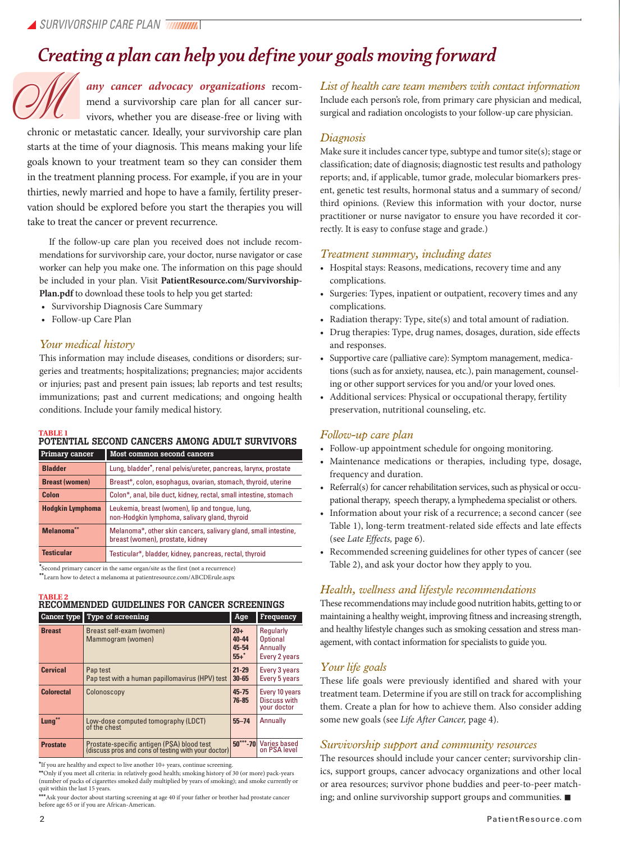### *Creating a plan can help you define your goals moving forward*

*any cancer advocacy organizations* recommend a survivorship care plan for all cancer survivors, whether you are disease-free or living with

chronic or metastatic cancer. Ideally, your survivorship care plan starts at the time of your diagnosis. This means making your life goals known to your treatment team so they can consider them in the treatment planning process. For example, if you are in your thirties, newly married and hope to have a family, fertility preservation should be explored before you start the therapies you will take to treat the cancer or prevent recurrence.

If the follow-up care plan you received does not include recommendations for survivorship care, your doctor, nurse navigator or case worker can help you make one. The information on this page should be included in your plan. Visit **PatientResource.com/Survivorship-Plan.pdf** to download these tools to help you get started:

- Survivorship Diagnosis Care Summary
- Follow-up Care Plan

#### *Your medical history*

This information may include diseases, conditions or disorders; surgeries and treatments; hospitalizations; pregnancies; major accidents or injuries; past and present pain issues; lab reports and test results; immunizations; past and current medications; and ongoing health conditions. Include your family medical history.

### TABLE 1<br>POTENTIAL SECOND CANCERS AMONG ADULT SURVIVORS

| <b>Primary cancer</b>   | Most common second cancers                                                                          |  |
|-------------------------|-----------------------------------------------------------------------------------------------------|--|
| <b>Bladder</b>          | Lung, bladder*, renal pelvis/ureter, pancreas, larynx, prostate                                     |  |
| <b>Breast (women)</b>   | Breast*, colon, esophagus, ovarian, stomach, thyroid, uterine                                       |  |
| Colon                   | Colon*, anal, bile duct, kidney, rectal, small intestine, stomach                                   |  |
| <b>Hodgkin Lymphoma</b> | Leukemia, breast (women), lip and tongue, lung,<br>non-Hodgkin lymphoma, salivary gland, thyroid    |  |
| Melanoma**              | Melanoma*, other skin cancers, salivary gland, small intestine,<br>breast (women), prostate, kidney |  |
| <b>Testicular</b>       | Testicular*, bladder, kidney, pancreas, rectal, thyroid                                             |  |

**\***Second primary cancer in the same organ/site as the first (not a recurrence) **\*\***Learn how to detect a melanoma at patientresource.com/ABCDErule.aspx

#### **TABLE 2**

### RECOMMENDED GUIDELINES FOR CANCER SCREENINGS

|                   | Cancer type Type of screening                                                                     | Age                                 | Frequency                                                 |
|-------------------|---------------------------------------------------------------------------------------------------|-------------------------------------|-----------------------------------------------------------|
| <b>Breast</b>     | Breast self-exam (women)<br>Mammogram (women)                                                     | $20 +$<br>40-44<br>45-54<br>$55+$ * | Regularly<br><b>Optional</b><br>Annually<br>Every 2 years |
| <b>Cervical</b>   | Pap test<br>Pap test with a human papillomavirus (HPV) test                                       | $21 - 29$<br>$30 - 65$              | Every 3 years<br>Every 5 years                            |
| <b>Colorectal</b> | Colonoscopy                                                                                       | $45 - 75$<br>$76 - 85$              | Every 10 years<br>Discuss with<br>your doctor             |
| Lung**            | Low-dose computed tomography (LDCT)<br>of the chest                                               | $55 - 74$                           | Annually                                                  |
| <b>Prostate</b>   | Prostate-specific antigen (PSA) blood test<br>(discuss pros and cons of testing with your doctor) | $50***-70$                          | <b>Varies based</b><br>on PSA level                       |

**\***If you are healthy and expect to live another 10+ years, continue screening.

**\*\***Only if you meet all criteria: in relatively good health; smoking history of 30 (or more) pack-years (number of packs of cigarettes smoked daily multiplied by years of smoking); and smoke currently or quit within the last 15 years.

**\*\*\***Ask your doctor about starting screening at age 40 if your father or brother had prostate cancer before age 65 or if you are African-American.

any cancer advocacy organizations recom-<br>
mend a survivorship care plan for all cancer sur-<br>
liclude each person's role, from primary care physician and medical<br>
vivors, whether you are disease-free or living with<br>
chronic Include each person's role, from primary care physician and medical, surgical and radiation oncologists to your follow-up care physician.

#### *Diagnosis*

Make sure it includes cancer type, subtype and tumor site(s); stage or classification; date of diagnosis; diagnostic test results and pathology reports; and, if applicable, tumor grade, molecular biomarkers present, genetic test results, hormonal status and a summary of second/ third opinions. (Review this information with your doctor, nurse practitioner or nurse navigator to ensure you have recorded it correctly. It is easy to confuse stage and grade.)

#### *Treatment summary, including dates*

- Hospital stays: Reasons, medications, recovery time and any complications.
- Surgeries: Types, inpatient or outpatient, recovery times and any complications.
- Radiation therapy: Type, site(s) and total amount of radiation.
- Drug therapies: Type, drug names, dosages, duration, side effects and responses.
- Supportive care (palliative care): Symptom management, medications (such as for anxiety, nausea, etc.), pain management, counseling or other support services for you and/or your loved ones.
- Additional services: Physical or occupational therapy, fertility preservation, nutritional counseling, etc.

#### *Follow-up care plan*

- Follow-up appointment schedule for ongoing monitoring.
- Maintenance medications or therapies, including type, dosage, frequency and duration.
- Referral(s) for cancer rehabilitation services, such as physical or occupational therapy, speech therapy, a lymphedema specialist or others.
- Information about your risk of a recurrence; a second cancer (see Table 1), long-term treatment-related side effects and late effects (see *Late Effects,* page 6).
- Recommended screening guidelines for other types of cancer (see Table 2), and ask your doctor how they apply to you.

#### *Health, wellness and lifestyle recommendations*

These recommendations may include good nutrition habits, getting to or maintaining a healthy weight, improving fitness and increasing strength, and healthy lifestyle changes such as smoking cessation and stress management, with contact information for specialists to guide you.

#### *Your life goals*

These life goals were previously identified and shared with your treatment team. Determine if you are still on track for accomplishing them. Create a plan for how to achieve them. Also consider adding some new goals (see *Life After Cancer,* page 4).

#### *Survivorship support and community resources*

The resources should include your cancer center; survivorship clinics, support groups, cancer advocacy organizations and other local or area resources; survivor phone buddies and peer-to-peer matching; and online survivorship support groups and communities.  $\blacksquare$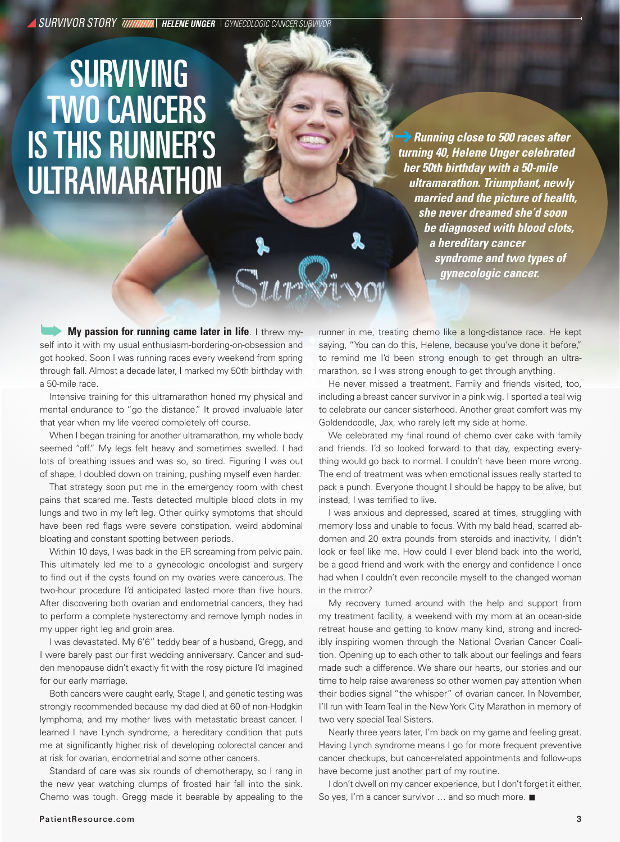*SURVIVOR STORY HELENE UNGER GYNECOLOGIC CANCER SURVIVOR*

## **SURVIVING**  TWO CANCERS IS THIS RUNNER'S ULTRAMARATHON

 *Running close to 500 races after turning 40, Helene Unger celebrated her 50th birthday with a 50-mile ultramarathon. Triumphant, newly married and the picture of health, she never dreamed she'd soon be diagnosed with blood clots, a hereditary cancer syndrome and two types of gynecologic cancer.*

**My passion for running came later in life.** I threw myself into it with my usual enthusiasm-bordering-on-obsession and got hooked. Soon I was running races every weekend from spring through fall. Almost a decade later, I marked my 50th birthday with a 50-mile race.

Intensive training for this ultramarathon honed my physical and mental endurance to "go the distance." It proved invaluable later that year when my life veered completely off course.

When I began training for another ultramarathon, my whole body seemed "off." My legs felt heavy and sometimes swelled. I had lots of breathing issues and was so, so tired. Figuring I was out of shape, I doubled down on training, pushing myself even harder.

That strategy soon put me in the emergency room with chest pains that scared me. Tests detected multiple blood clots in my lungs and two in my left leg. Other quirky symptoms that should have been red flags were severe constipation, weird abdominal bloating and constant spotting between periods.

Within 10 days, I was back in the ER screaming from pelvic pain. This ultimately led me to a gynecologic oncologist and surgery to find out if the cysts found on my ovaries were cancerous. The two-hour procedure I'd anticipated lasted more than five hours. After discovering both ovarian and endometrial cancers, they had to perform a complete hysterectomy and remove lymph nodes in my upper right leg and groin area.

I was devastated. My 6'6" teddy bear of a husband, Gregg, and I were barely past our first wedding anniversary. Cancer and sudden menopause didn't exactly fit with the rosy picture I'd imagined for our early marriage.

Both cancers were caught early, Stage I, and genetic testing was strongly recommended because my dad died at 60 of non-Hodgkin lymphoma, and my mother lives with metastatic breast cancer. I learned I have Lynch syndrome, a hereditary condition that puts me at significantly higher risk of developing colorectal cancer and at risk for ovarian, endometrial and some other cancers.

Standard of care was six rounds of chemotherapy, so I rang in the new year watching clumps of frosted hair fall into the sink. Chemo was tough. Gregg made it bearable by appealing to the runner in me, treating chemo like a long-distance race. He kept saying, "You can do this, Helene, because you've done it before," to remind me I'd been strong enough to get through an ultramarathon, so I was strong enough to get through anything.

He never missed a treatment. Family and friends visited, too, including a breast cancer survivor in a pink wig. I sported a teal wig to celebrate our cancer sisterhood. Another great comfort was my Goldendoodle, Jax, who rarely left my side at home.

We celebrated my final round of chemo over cake with family and friends. I'd so looked forward to that day, expecting everything would go back to normal. I couldn't have been more wrong. The end of treatment was when emotional issues really started to pack a punch. Everyone thought I should be happy to be alive, but instead, I was terrified to live.

I was anxious and depressed, scared at times, struggling with memory loss and unable to focus. With my bald head, scarred abdomen and 20 extra pounds from steroids and inactivity, I didn't look or feel like me. How could I ever blend back into the world, be a good friend and work with the energy and confidence I once had when I couldn't even reconcile myself to the changed woman in the mirror?

My recovery turned around with the help and support from my treatment facility, a weekend with my mom at an ocean-side retreat house and getting to know many kind, strong and incredibly inspiring women through the National Ovarian Cancer Coalition. Opening up to each other to talk about our feelings and fears made such a difference. We share our hearts, our stories and our time to help raise awareness so other women pay attention when their bodies signal "the whisper" of ovarian cancer. In November, I'll run with Team Teal in the New York City Marathon in memory of two very special Teal Sisters.

Nearly three years later, I'm back on my game and feeling great. Having Lynch syndrome means I go for more frequent preventive cancer checkups, but cancer-related appointments and follow-ups have become just another part of my routine.

I don't dwell on my cancer experience, but I don't forget it either. So yes, I'm a cancer survivor  $\ldots$  and so much more.  $\blacksquare$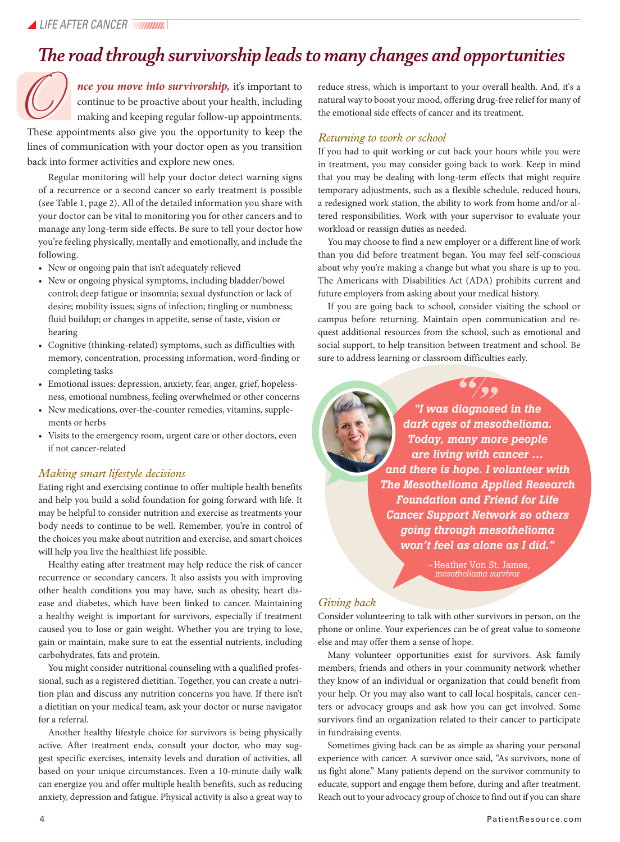### *The road through survivorship leads to many changes and opportunities*

*nce you move into survivorship,* it's important to continue to be proactive about your health, including making and keeping regular follow-up appointments. nce you move into survivorship, it's important to continue to be proactive about your health, including making and keeping regular follow-up appointments.<br>These appointments also give you the opportunity to keep the

lines of communication with your doctor open as you transition back into former activities and explore new ones.

Regular monitoring will help your doctor detect warning signs of a recurrence or a second cancer so early treatment is possible (see Table 1, page 2). All of the detailed information you share with your doctor can be vital to monitoring you for other cancers and to manage any long-term side effects. Be sure to tell your doctor how you're feeling physically, mentally and emotionally, and include the following.

- New or ongoing pain that isn't adequately relieved
- New or ongoing physical symptoms, including bladder/bowel control; deep fatigue or insomnia; sexual dysfunction or lack of desire; mobility issues; signs of infection; tingling or numbness; fluid buildup; or changes in appetite, sense of taste, vision or hearing
- Cognitive (thinking-related) symptoms, such as difficulties with memory, concentration, processing information, word-finding or completing tasks
- Emotional issues: depression, anxiety, fear, anger, grief, hopelessness, emotional numbness, feeling overwhelmed or other concerns
- New medications, over-the-counter remedies, vitamins, supplements or herbs
- Visits to the emergency room, urgent care or other doctors, even if not cancer-related

#### *Making smart lifestyle decisions*

Eating right and exercising continue to offer multiple health benefits and help you build a solid foundation for going forward with life. It may be helpful to consider nutrition and exercise as treatments your body needs to continue to be well. Remember, you're in control of the choices you make about nutrition and exercise, and smart choices will help you live the healthiest life possible.

Healthy eating after treatment may help reduce the risk of cancer recurrence or secondary cancers. It also assists you with improving other health conditions you may have, such as obesity, heart disease and diabetes, which have been linked to cancer. Maintaining a healthy weight is important for survivors, especially if treatment caused you to lose or gain weight. Whether you are trying to lose, gain or maintain, make sure to eat the essential nutrients, including carbohydrates, fats and protein.

You might consider nutritional counseling with a qualified professional, such as a registered dietitian. Together, you can create a nutrition plan and discuss any nutrition concerns you have. If there isn't a dietitian on your medical team, ask your doctor or nurse navigator for a referral.

Another healthy lifestyle choice for survivors is being physically active. After treatment ends, consult your doctor, who may suggest specific exercises, intensity levels and duration of activities, all based on your unique circumstances. Even a 10-minute daily walk can energize you and offer multiple health benefits, such as reducing anxiety, depression and fatigue. Physical activity is also a great way to reduce stress, which is important to your overall health. And, it's a natural way to boost your mood, offering drug-free relief for many of the emotional side effects of cancer and its treatment.

#### *Returning to work or school*

If you had to quit working or cut back your hours while you were in treatment, you may consider going back to work. Keep in mind that you may be dealing with long-term effects that might require temporary adjustments, such as a flexible schedule, reduced hours, a redesigned work station, the ability to work from home and/or altered responsibilities. Work with your supervisor to evaluate your workload or reassign duties as needed.

You may choose to find a new employer or a different line of work than you did before treatment began. You may feel self-conscious about why you're making a change but what you share is up to you. The Americans with Disabilities Act (ADA) prohibits current and future employers from asking about your medical history.

If you are going back to school, consider visiting the school or campus before returning. Maintain open communication and request additional resources from the school, such as emotional and social support, to help transition between treatment and school. Be sure to address learning or classroom difficulties early.

> *"I was diagnosed in the dark ages of mesothelioma. Today, many more people are living with cancer … and there is hope. I volunteer with The Mesothelioma Applied Research Foundation and Friend for Life Cancer Support Network so others going through mesothelioma won't feel as alone as I did."*   $77$ <br>nose<br>nese

"

~Heather Von St. James, *mesothelioma survivor*

#### *Giving back*

Consider volunteering to talk with other survivors in person, on the phone or online. Your experiences can be of great value to someone else and may offer them a sense of hope.

Many volunteer opportunities exist for survivors. Ask family members, friends and others in your community network whether they know of an individual or organization that could benefit from your help. Or you may also want to call local hospitals, cancer centers or advocacy groups and ask how you can get involved. Some survivors find an organization related to their cancer to participate in fundraising events.

Sometimes giving back can be as simple as sharing your personal experience with cancer. A survivor once said, "As survivors, none of us fight alone." Many patients depend on the survivor community to educate, support and engage them before, during and after treatment. Reach out to your advocacy group of choice to find out if you can share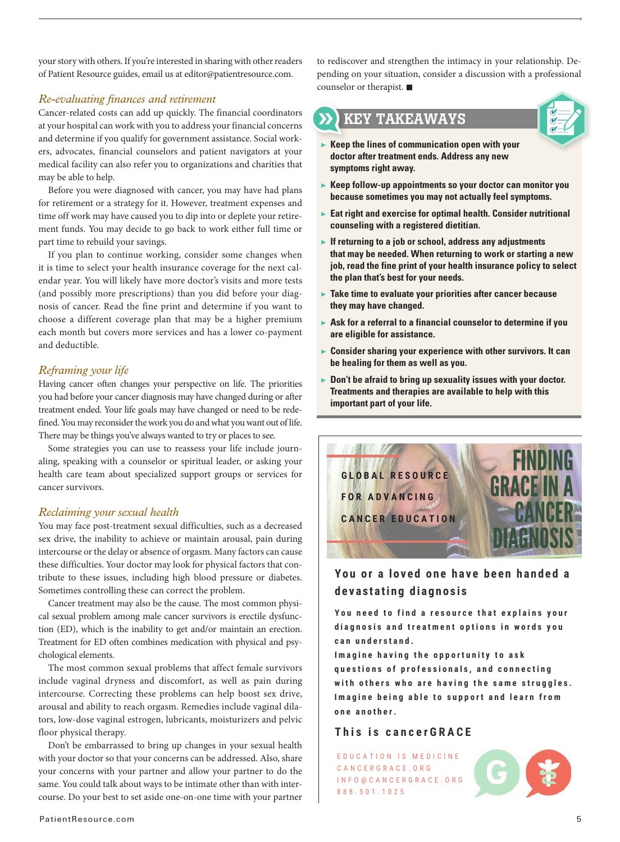your story with others. If you're interested in sharing with other readers of Patient Resource guides, email us at editor@patientresource.com.

#### *Re-evaluating finances and retirement*

Cancer-related costs can add up quickly. The financial coordinators at your hospital can work with you to address your financial concerns and determine if you qualify for government assistance. Social workers, advocates, financial counselors and patient navigators at your medical facility can also refer you to organizations and charities that may be able to help.

Before you were diagnosed with cancer, you may have had plans for retirement or a strategy for it. However, treatment expenses and time off work may have caused you to dip into or deplete your retirement funds. You may decide to go back to work either full time or part time to rebuild your savings.

If you plan to continue working, consider some changes when it is time to select your health insurance coverage for the next calendar year. You will likely have more doctor's visits and more tests (and possibly more prescriptions) than you did before your diagnosis of cancer. Read the fine print and determine if you want to choose a different coverage plan that may be a higher premium each month but covers more services and has a lower co-payment and deductible.

#### *Reframing your life*

Having cancer often changes your perspective on life. The priorities you had before your cancer diagnosis may have changed during or after treatment ended. Your life goals may have changed or need to be redefined. You may reconsider the work you do and what you want out of life. There may be things you've always wanted to try or places to see.

Some strategies you can use to reassess your life include journaling, speaking with a counselor or spiritual leader, or asking your health care team about specialized support groups or services for cancer survivors.

#### *Reclaiming your sexual health*

You may face post-treatment sexual difficulties, such as a decreased sex drive, the inability to achieve or maintain arousal, pain during intercourse or the delay or absence of orgasm. Many factors can cause these difficulties. Your doctor may look for physical factors that contribute to these issues, including high blood pressure or diabetes. Sometimes controlling these can correct the problem.

Cancer treatment may also be the cause. The most common physical sexual problem among male cancer survivors is erectile dysfunction (ED), which is the inability to get and/or maintain an erection. Treatment for ED often combines medication with physical and psychological elements.

The most common sexual problems that affect female survivors include vaginal dryness and discomfort, as well as pain during intercourse. Correcting these problems can help boost sex drive, arousal and ability to reach orgasm. Remedies include vaginal dilators, low-dose vaginal estrogen, lubricants, moisturizers and pelvic floor physical therapy.

Don't be embarrassed to bring up changes in your sexual health with your doctor so that your concerns can be addressed. Also, share your concerns with your partner and allow your partner to do the same. You could talk about ways to be intimate other than with intercourse. Do your best to set aside one-on-one time with your partner to rediscover and strengthen the intimacy in your relationship. Depending on your situation, consider a discussion with a professional counselor or therapist.  $\blacksquare$ 

#### KEY TAKEAWAYS



- ▶ **Keep the lines of communication open with your doctor after treatment ends. Address any new symptoms right away.**
- ▶ **Keep follow-up appointments so your doctor can monitor you because sometimes you may not actually feel symptoms.**
- ▶ Eat right and exercise for optimal health. Consider nutritional **counseling with a registered dietitian.**
- ▶ If returning to a job or school, address any adjustments **that may be needed. When returning to work or starting a new job, read the fine print of your health insurance policy to select the plan that's best for your needs.**
- ▶ **Take time to evaluate your priorities after cancer because they may have changed.**
- ▶ Ask for a referral to a financial counselor to determine if you **are eligible for assistance.**
- ▶ **Consider sharing your experience with other survivors. It can be healing for them as well as you.**
- ▶ **Don't be afraid to bring up sexuality issues with your doctor. Treatments and therapies are available to help with this important part of your life.**



#### **You or a loved one have been handed a d e v a s t a t i n g d i a g n o s i s**

**You need to find a resource that explains your d i a g n o s i s a n d t r e a t m e n t o p t i o n s i n w o r d s y o u c a n u n d e r s t a n d .**

**Imagine having the opportunity to ask** questions of professionals, and connecting with others who are having the same struggles. I magine being able to support and learn from **o n e a n o t h e r .** 

#### **T h i s i s c a n c e r G R A C E**

E D U C A T I O N I S M E D I C I N E C A N C E R G R A C E . O R G I N F O @ C A N C E R G R A C E . O R G 8 8 8 . 5 0 1 . 1 0 2 5

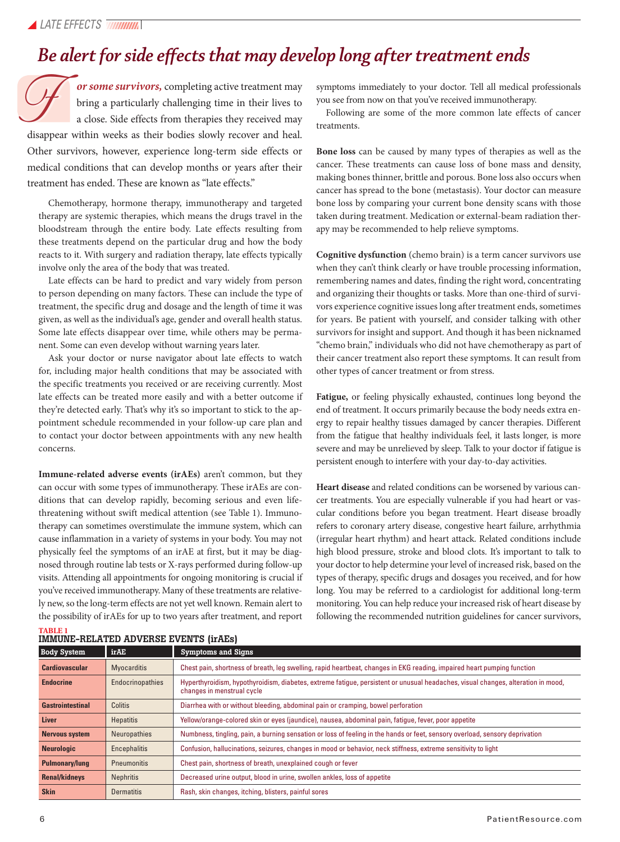### *Be alert for side effects that may develop long after treatment ends*

*or some survivors,* completing active treatment may bring a particularly challenging time in their lives to a close. Side effects from therapies they received may or some survivors, completing active treatment may<br>bring a particularly challenging time in their lives to<br>a close. Side effects from therapies they received may<br>disappear within weeks as their bodies slowly recover and he Other survivors, however, experience long-term side effects or medical conditions that can develop months or years after their treatment has ended. These are known as "late effects."

Chemotherapy, hormone therapy, immunotherapy and targeted therapy are systemic therapies, which means the drugs travel in the bloodstream through the entire body. Late effects resulting from these treatments depend on the particular drug and how the body reacts to it. With surgery and radiation therapy, late effects typically involve only the area of the body that was treated.

Late effects can be hard to predict and vary widely from person to person depending on many factors. These can include the type of treatment, the specific drug and dosage and the length of time it was given, as well as the individual's age, gender and overall health status. Some late effects disappear over time, while others may be permanent. Some can even develop without warning years later.

Ask your doctor or nurse navigator about late effects to watch for, including major health conditions that may be associated with the specific treatments you received or are receiving currently. Most late effects can be treated more easily and with a better outcome if they're detected early. That's why it's so important to stick to the appointment schedule recommended in your follow-up care plan and to contact your doctor between appointments with any new health concerns.

**Immune-related adverse events (irAEs)** aren't common, but they can occur with some types of immunotherapy. These irAEs are conditions that can develop rapidly, becoming serious and even lifethreatening without swift medical attention (see Table 1). Immunotherapy can sometimes overstimulate the immune system, which can cause inflammation in a variety of systems in your body. You may not physically feel the symptoms of an irAE at first, but it may be diagnosed through routine lab tests or X-rays performed during follow-up visits. Attending all appointments for ongoing monitoring is crucial if you've received immunotherapy. Many of these treatments are relatively new, so the long-term effects are not yet well known. Remain alert to the possibility of irAEs for up to two years after treatment, and report symptoms immediately to your doctor. Tell all medical professionals you see from now on that you've received immunotherapy.

Following are some of the more common late effects of cancer treatments.

**Bone loss** can be caused by many types of therapies as well as the cancer. These treatments can cause loss of bone mass and density, making bones thinner, brittle and porous. Bone loss also occurs when cancer has spread to the bone (metastasis). Your doctor can measure bone loss by comparing your current bone density scans with those taken during treatment. Medication or external-beam radiation therapy may be recommended to help relieve symptoms.

**Cognitive dysfunction** (chemo brain) is a term cancer survivors use when they can't think clearly or have trouble processing information, remembering names and dates, finding the right word, concentrating and organizing their thoughts or tasks. More than one-third of survivors experience cognitive issues long after treatment ends, sometimes for years. Be patient with yourself, and consider talking with other survivors for insight and support. And though it has been nicknamed "chemo brain," individuals who did not have chemotherapy as part of their cancer treatment also report these symptoms. It can result from other types of cancer treatment or from stress.

**Fatigue,** or feeling physically exhausted, continues long beyond the end of treatment. It occurs primarily because the body needs extra energy to repair healthy tissues damaged by cancer therapies. Different from the fatigue that healthy individuals feel, it lasts longer, is more severe and may be unrelieved by sleep. Talk to your doctor if fatigue is persistent enough to interfere with your day-to-day activities.

**Heart disease** and related conditions can be worsened by various cancer treatments. You are especially vulnerable if you had heart or vascular conditions before you began treatment. Heart disease broadly refers to coronary artery disease, congestive heart failure, arrhythmia (irregular heart rhythm) and heart attack. Related conditions include high blood pressure, stroke and blood clots. It's important to talk to your doctor to help determine your level of increased risk, based on the types of therapy, specific drugs and dosages you received, and for how long. You may be referred to a cardiologist for additional long-term monitoring. You can help reduce your increased risk of heart disease by following the recommended nutrition guidelines for cancer survivors,

| <b>Body System</b>      | <b>irAE</b>         | <b>Symptoms and Signs</b>                                                                                                                                      |  |
|-------------------------|---------------------|----------------------------------------------------------------------------------------------------------------------------------------------------------------|--|
| <b>Cardiovascular</b>   | <b>Myocarditis</b>  | Chest pain, shortness of breath, leg swelling, rapid heartbeat, changes in EKG reading, impaired heart pumping function                                        |  |
| <b>Endocrine</b>        | Endocrinopathies    | Hyperthyroidism, hypothyroidism, diabetes, extreme fatique, persistent or unusual headaches, visual changes, alteration in mood,<br>changes in menstrual cycle |  |
| <b>Gastrointestinal</b> | Colitis             | Diarrhea with or without bleeding, abdominal pain or cramping, bowel perforation                                                                               |  |
| <b>Liver</b>            | <b>Hepatitis</b>    | Yellow/orange-colored skin or eyes (jaundice), nausea, abdominal pain, fatigue, fever, poor appetite                                                           |  |
| <b>Nervous system</b>   | <b>Neuropathies</b> | Numbness, tingling, pain, a burning sensation or loss of feeling in the hands or feet, sensory overload, sensory deprivation                                   |  |
| <b>Neurologic</b>       | Encephalitis        | Confusion, hallucinations, seizures, changes in mood or behavior, neck stiffness, extreme sensitivity to light                                                 |  |
| <b>Pulmonary/lung</b>   | Pneumonitis         | Chest pain, shortness of breath, unexplained cough or fever                                                                                                    |  |
| <b>Renal/kidneys</b>    | <b>Nephritis</b>    | Decreased urine output, blood in urine, swollen ankles, loss of appetite                                                                                       |  |
| <b>Skin</b>             | <b>Dermatitis</b>   | Rash, skin changes, itching, blisters, painful sores                                                                                                           |  |

| <b>IMMUNE-RELATED ADVERSE EVENTS (irAEs)</b> |  |  |
|----------------------------------------------|--|--|
|                                              |  |  |

**TABLE 1**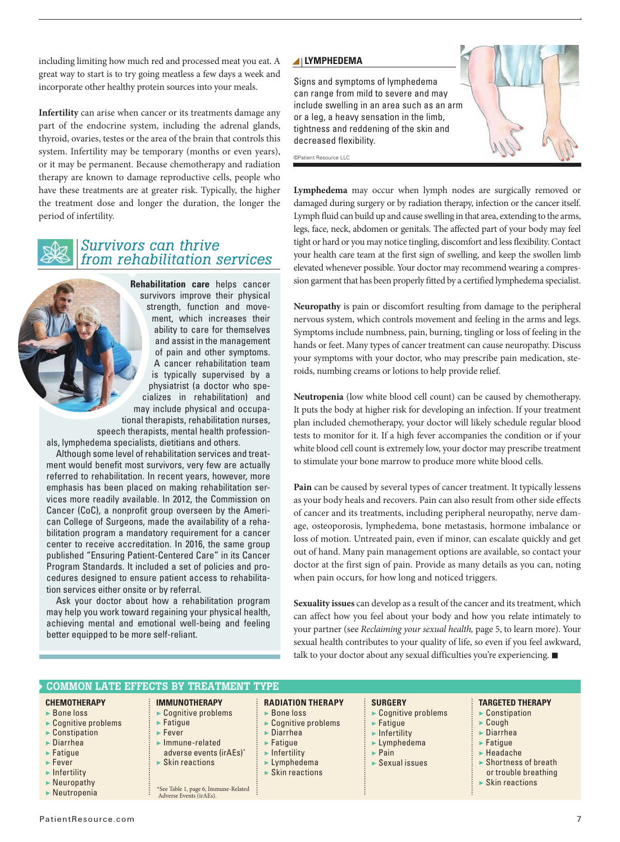including limiting how much red and processed meat you eat. A great way to start is to try going meatless a few days a week and incorporate other healthy protein sources into your meals.

**Infertility** can arise when cancer or its treatments damage any part of the endocrine system, including the adrenal glands, thyroid, ovaries, testes or the area of the brain that controls this system. Infertility may be temporary (months or even years), or it may be permanent. Because chemotherapy and radiation therapy are known to damage reproductive cells, people who have these treatments are at greater risk. Typically, the higher the treatment dose and longer the duration, the longer the period of infertility.



#### *Survivors can thrive from rehabilitation services*

**Rehabilitation care** helps cancer survivors improve their physical strength, function and movement, which increases their ability to care for themselves and assist in the management of pain and other symptoms. A cancer rehabilitation team is typically supervised by a physiatrist (a doctor who specializes in rehabilitation) and may include physical and occupational therapists, rehabilitation nurses,

speech therapists, mental health professionals, lymphedema specialists, dietitians and others.

Although some level of rehabilitation services and treatment would benefit most survivors, very few are actually referred to rehabilitation. In recent years, however, more emphasis has been placed on making rehabilitation services more readily available. In 2012, the Commission on Cancer (CoC), a nonprofit group overseen by the American College of Surgeons, made the availability of a rehabilitation program a mandatory requirement for a cancer center to receive accreditation. In 2016, the same group published "Ensuring Patient-Centered Care" in its Cancer Program Standards. It included a set of policies and procedures designed to ensure patient access to rehabilitation services either onsite or by referral.

Ask your doctor about how a rehabilitation program may help you work toward regaining your physical health, achieving mental and emotional well-being and feeling better equipped to be more self-reliant.

#### **LYMPHEDEMA**

Signs and symptoms of lymphedema can range from mild to severe and may include swelling in an area such as an arm or a leg, a heavy sensation in the limb, tightness and reddening of the skin and decreased flexibility.

©Patient Resource LLC

**Lymphedema** may occur when lymph nodes are surgically removed or damaged during surgery or by radiation therapy, infection or the cancer itself. Lymph fluid can build up and cause swelling in that area, extending to the arms, legs, face, neck, abdomen or genitals. The affected part of your body may feel tight or hard or you may notice tingling, discomfort and less flexibility. Contact your health care team at the first sign of swelling, and keep the swollen limb elevated whenever possible. Your doctor may recommend wearing a compression garment that has been properly fitted by a certified lymphedema specialist.

**Neuropathy** is pain or discomfort resulting from damage to the peripheral nervous system, which controls movement and feeling in the arms and legs. Symptoms include numbness, pain, burning, tingling or loss of feeling in the hands or feet. Many types of cancer treatment can cause neuropathy. Discuss your symptoms with your doctor, who may prescribe pain medication, steroids, numbing creams or lotions to help provide relief.

**Neutropenia** (low white blood cell count) can be caused by chemotherapy. It puts the body at higher risk for developing an infection. If your treatment plan included chemotherapy, your doctor will likely schedule regular blood tests to monitor for it. If a high fever accompanies the condition or if your white blood cell count is extremely low, your doctor may prescribe treatment to stimulate your bone marrow to produce more white blood cells.

**Pain** can be caused by several types of cancer treatment. It typically lessens as your body heals and recovers. Pain can also result from other side effects of cancer and its treatments, including peripheral neuropathy, nerve damage, osteoporosis, lymphedema, bone metastasis, hormone imbalance or loss of motion. Untreated pain, even if minor, can escalate quickly and get out of hand. Many pain management options are available, so contact your doctor at the first sign of pain. Provide as many details as you can, noting when pain occurs, for how long and noticed triggers.

**Sexuality issues** can develop as a result of the cancer and its treatment, which can affect how you feel about your body and how you relate intimately to your partner (see *Reclaiming your sexual health,* page 5, to learn more). Your sexual health contributes to your quality of life, so even if you feel awkward, talk to your doctor about any sexual difficulties you're experiencing.  $\blacksquare$ 

| $\vdots$ RADIATION THERAPY<br><b>SURGERY</b><br><b>TARGETED THERAPY</b><br><b>IMMUNOTHERAPY</b><br><b>CHEMOTHERAPY</b><br>► Cognitive problems<br>$\blacktriangleright$ Constipation<br>$\triangleright$ Bone loss<br>$\triangleright$ Bone loss<br>$\triangleright$ Cognitive problems<br>$\triangleright$ Cognitive problems<br>$\triangleright$ Cognitive problems<br>$\blacktriangleright$ Fatigue<br>$\blacktriangleright$ Cough<br>$\blacktriangleright$ Fatique<br>$\blacktriangleright$ Constipation<br>$\blacktriangleright$ Diarrhea<br>$\blacktriangleright$ Diarrhea<br>$\blacktriangleright$ Infertility<br>$\blacktriangleright$ Fever<br>$\blacktriangleright$ Diarrhea<br>Immune-related<br>$\blacktriangleright$ Fatique<br>$\blacktriangleright$ Fatique<br>Lymphedema<br>adverse events (irAEs)*<br>$\blacktriangleright$ Headache<br>$\blacktriangleright$ Fatique<br>$\blacktriangleright$ Infertility<br>$\blacktriangleright$ Pain<br>$\triangleright$ Shortness of breath<br>$\triangleright$ Skin reactions<br>$\triangleright$ Sexual issues<br>$\blacktriangleright$ Lymphedema<br>$\blacktriangleright$ Fever<br>$\blacktriangleright$ Skin reactions<br>or trouble breathing<br>$\blacktriangleright$ Infertility<br>$\blacktriangleright$ Skin reactions<br>$\blacktriangleright$ Neuropathy<br>*See Table 1, page 6, Immune-Related<br>$\blacktriangleright$ Neutropenia<br>Adverse Events (irAEs). |
|------------------------------------------------------------------------------------------------------------------------------------------------------------------------------------------------------------------------------------------------------------------------------------------------------------------------------------------------------------------------------------------------------------------------------------------------------------------------------------------------------------------------------------------------------------------------------------------------------------------------------------------------------------------------------------------------------------------------------------------------------------------------------------------------------------------------------------------------------------------------------------------------------------------------------------------------------------------------------------------------------------------------------------------------------------------------------------------------------------------------------------------------------------------------------------------------------------------------------------------------------------------------------------------------------------------------------------------------------------------------------------------------------------------------------------|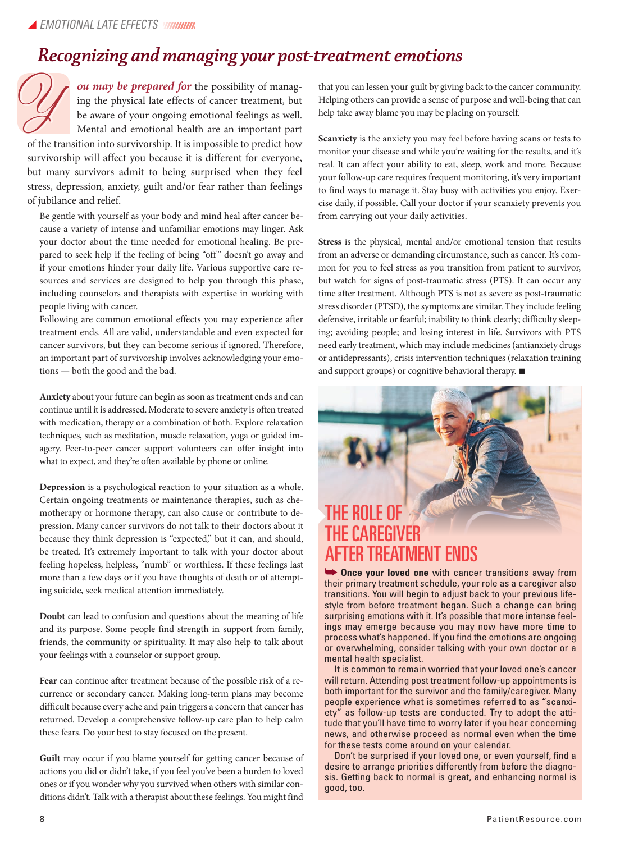### *Recognizing and managing your post-treatment emotions*

*ou may be prepared for* the possibility of managing the physical late effects of cancer treatment, but be aware of your ongoing emotional feelings as well. Mental and emotional health are an important part ou may be prepared for the possibility of manag-<br>ing that you can lessen your guilt by giving back to the cancer community.<br>Ing the physical late effects of cancer treatment, but Helping others can provide a sense of purpo

of the transition into survivorship. It is impossible to predict how survivorship will affect you because it is different for everyone, but many survivors admit to being surprised when they feel stress, depression, anxiety, guilt and/or fear rather than feelings of jubilance and relief.

Be gentle with yourself as your body and mind heal after cancer because a variety of intense and unfamiliar emotions may linger. Ask your doctor about the time needed for emotional healing. Be prepared to seek help if the feeling of being "off" doesn't go away and if your emotions hinder your daily life. Various supportive care resources and services are designed to help you through this phase, including counselors and therapists with expertise in working with people living with cancer.

Following are common emotional effects you may experience after treatment ends. All are valid, understandable and even expected for cancer survivors, but they can become serious if ignored. Therefore, an important part of survivorship involves acknowledging your emotions — both the good and the bad.

**Anxiety** about your future can begin as soon as treatment ends and can continue until it is addressed. Moderate to severe anxiety is often treated with medication, therapy or a combination of both. Explore relaxation techniques, such as meditation, muscle relaxation, yoga or guided imagery. Peer-to-peer cancer support volunteers can offer insight into what to expect, and they're often available by phone or online.

**Depression** is a psychological reaction to your situation as a whole. Certain ongoing treatments or maintenance therapies, such as chemotherapy or hormone therapy, can also cause or contribute to depression. Many cancer survivors do not talk to their doctors about it because they think depression is "expected," but it can, and should, be treated. It's extremely important to talk with your doctor about feeling hopeless, helpless, "numb" or worthless. If these feelings last more than a few days or if you have thoughts of death or of attempting suicide, seek medical attention immediately.

**Doubt** can lead to confusion and questions about the meaning of life and its purpose. Some people find strength in support from family, friends, the community or spirituality. It may also help to talk about your feelings with a counselor or support group.

**Fear** can continue after treatment because of the possible risk of a recurrence or secondary cancer. Making long-term plans may become difficult because every ache and pain triggers a concern that cancer has returned. Develop a comprehensive follow-up care plan to help calm these fears. Do your best to stay focused on the present.

Guilt may occur if you blame yourself for getting cancer because of actions you did or didn't take, if you feel you've been a burden to loved ones or if you wonder why you survived when others with similar conditions didn't. Talk with a therapist about these feelings. You might find

Helping others can provide a sense of purpose and well-being that can help take away blame you may be placing on yourself.

**Scanxiety** is the anxiety you may feel before having scans or tests to monitor your disease and while you're waiting for the results, and it's real. It can affect your ability to eat, sleep, work and more. Because your follow-up care requires frequent monitoring, it's very important to find ways to manage it. Stay busy with activities you enjoy. Exercise daily, if possible. Call your doctor if your scanxiety prevents you from carrying out your daily activities.

**Stress** is the physical, mental and/or emotional tension that results from an adverse or demanding circumstance, such as cancer. It's common for you to feel stress as you transition from patient to survivor, but watch for signs of post-traumatic stress (PTS). It can occur any time after treatment. Although PTS is not as severe as post-traumatic stress disorder (PTSD), the symptoms are similar. They include feeling defensive, irritable or fearful; inability to think clearly; difficulty sleeping; avoiding people; and losing interest in life. Survivors with PTS need early treatment, which may include medicines (antianxiety drugs or antidepressants), crisis intervention techniques (relaxation training and support groups) or cognitive behavioral therapy.  $\blacksquare$ 



 **Once your loved one** with cancer transitions away from their primary treatment schedule, your role as a caregiver also transitions. You will begin to adjust back to your previous lifestyle from before treatment began. Such a change can bring surprising emotions with it. It's possible that more intense feelings may emerge because you may now have more time to process what's happened. If you find the emotions are ongoing or overwhelming, consider talking with your own doctor or a mental health specialist.

It is common to remain worried that your loved one's cancer will return. Attending post treatment follow-up appointments is both important for the survivor and the family/caregiver. Many people experience what is sometimes referred to as "scanxiety" as follow-up tests are conducted. Try to adopt the attitude that you'll have time to worry later if you hear concerning news, and otherwise proceed as normal even when the time for these tests come around on your calendar.

Don't be surprised if your loved one, or even yourself, find a desire to arrange priorities differently from before the diagnosis. Getting back to normal is great, and enhancing normal is good, too.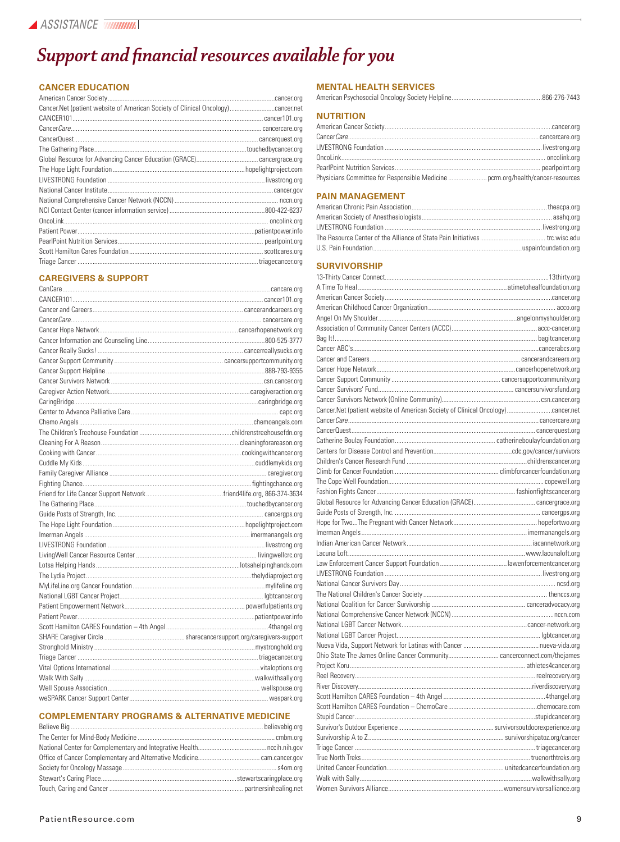### *Support and financial resources available for you*

#### **CANCER EDUCATION**

| Cancer.Net (patient website of American Society of Clinical Oncology)cancer.net |  |
|---------------------------------------------------------------------------------|--|
|                                                                                 |  |
|                                                                                 |  |
|                                                                                 |  |
|                                                                                 |  |
|                                                                                 |  |
|                                                                                 |  |
|                                                                                 |  |
|                                                                                 |  |
|                                                                                 |  |
|                                                                                 |  |
|                                                                                 |  |
|                                                                                 |  |
|                                                                                 |  |
|                                                                                 |  |
|                                                                                 |  |

#### **CAREGIVERS & SUPPORT**

#### **COMPLEMENTARY PROGRAMS & ALTERNATIVE MEDICINE**

#### **MENTAL HEALTH SERVICES**

| <b><i>ALL PERMITLANT</i></b> |  |
|------------------------------|--|

#### **NUTRITION**

| Physicians Committee for Responsible Medicine  pcrm.org/health/cancer-resources |  |
|---------------------------------------------------------------------------------|--|

#### **PAIN MANAGEMENT**

#### **SURVIVORSHIP**

| Cancer.Net (patient website of American Society of Clinical Oncology)cancer.net |  |
|---------------------------------------------------------------------------------|--|
|                                                                                 |  |
|                                                                                 |  |
|                                                                                 |  |
|                                                                                 |  |
|                                                                                 |  |
|                                                                                 |  |
|                                                                                 |  |
|                                                                                 |  |
|                                                                                 |  |
|                                                                                 |  |
|                                                                                 |  |
|                                                                                 |  |
|                                                                                 |  |
|                                                                                 |  |
|                                                                                 |  |
|                                                                                 |  |
|                                                                                 |  |
|                                                                                 |  |
|                                                                                 |  |
|                                                                                 |  |
|                                                                                 |  |
|                                                                                 |  |
|                                                                                 |  |
|                                                                                 |  |
|                                                                                 |  |
|                                                                                 |  |
|                                                                                 |  |
|                                                                                 |  |
|                                                                                 |  |
|                                                                                 |  |
|                                                                                 |  |
|                                                                                 |  |
|                                                                                 |  |
|                                                                                 |  |
|                                                                                 |  |
|                                                                                 |  |
|                                                                                 |  |
|                                                                                 |  |